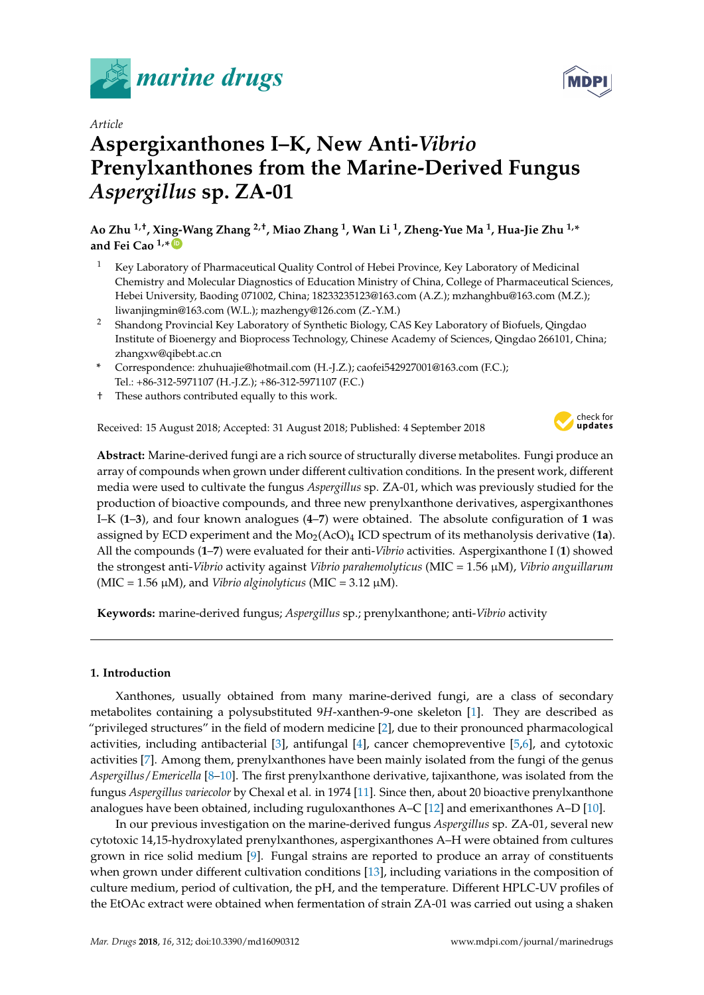



# *Article* **Aspergixanthones I–K, New Anti-***Vibrio* **Prenylxanthones from the Marine-Derived Fungus** *Aspergillus* **sp. ZA-01**

**Ao Zhu 1,†, Xing-Wang Zhang 2,†, Miao Zhang <sup>1</sup> , Wan Li <sup>1</sup> , Zheng-Yue Ma <sup>1</sup> , Hua-Jie Zhu 1,\* and Fei Cao 1,\* [ID](https://orcid.org/0000-0002-5676-3176)**

- <sup>1</sup> Key Laboratory of Pharmaceutical Quality Control of Hebei Province, Key Laboratory of Medicinal Chemistry and Molecular Diagnostics of Education Ministry of China, College of Pharmaceutical Sciences, Hebei University, Baoding 071002, China; 18233235123@163.com (A.Z.); mzhanghbu@163.com (M.Z.); liwanjingmin@163.com (W.L.); mazhengy@126.com (Z.-Y.M.)
- <sup>2</sup> Shandong Provincial Key Laboratory of Synthetic Biology, CAS Key Laboratory of Biofuels, Qingdao Institute of Bioenergy and Bioprocess Technology, Chinese Academy of Sciences, Qingdao 266101, China; zhangxw@qibebt.ac.cn
- **\*** Correspondence: zhuhuajie@hotmail.com (H.-J.Z.); caofei542927001@163.com (F.C.); Tel.: +86-312-5971107 (H.-J.Z.); +86-312-5971107 (F.C.)
- † These authors contributed equally to this work.

Received: 15 August 2018; Accepted: 31 August 2018; Published: 4 September 2018



**Abstract:** Marine-derived fungi are a rich source of structurally diverse metabolites. Fungi produce an array of compounds when grown under different cultivation conditions. In the present work, different media were used to cultivate the fungus *Aspergillus* sp. ZA-01, which was previously studied for the production of bioactive compounds, and three new prenylxanthone derivatives, aspergixanthones I–K (**1**–**3**), and four known analogues (**4**–**7**) were obtained. The absolute configuration of **1** was assigned by ECD experiment and the  $Mo_{2}(ACO)_{4}$  ICD spectrum of its methanolysis derivative (1a). All the compounds (**1**–**7**) were evaluated for their anti-*Vibrio* activities. Aspergixanthone I (**1**) showed the strongest anti-*Vibrio* activity against *Vibrio parahemolyticus* (MIC = 1.56 µM), *Vibrio anguillarum*  $(MIC = 1.56 \mu M)$ , and *Vibrio alginolyticus* (MIC = 3.12  $\mu$ M).

**Keywords:** marine-derived fungus; *Aspergillus* sp.; prenylxanthone; anti-*Vibrio* activity

# **1. Introduction**

Xanthones, usually obtained from many marine-derived fungi, are a class of secondary metabolites containing a polysubstituted 9*H*-xanthen-9-one skeleton [\[1\]](#page-6-0). They are described as "privileged structures" in the field of modern medicine [\[2\]](#page-6-1), due to their pronounced pharmacological activities, including antibacterial [\[3\]](#page-6-2), antifungal [\[4\]](#page-6-3), cancer chemopreventive [\[5,](#page-6-4)[6\]](#page-7-0), and cytotoxic activities [\[7\]](#page-7-1). Among them, prenylxanthones have been mainly isolated from the fungi of the genus *Aspergillus*/*Emericella* [\[8](#page-7-2)[–10\]](#page-7-3). The first prenylxanthone derivative, tajixanthone, was isolated from the fungus *Aspergillus variecolor* by Chexal et al. in 1974 [\[11\]](#page-7-4). Since then, about 20 bioactive prenylxanthone analogues have been obtained, including ruguloxanthones A–C [\[12\]](#page-7-5) and emerixanthones A–D [\[10\]](#page-7-3).

In our previous investigation on the marine-derived fungus *Aspergillus* sp. ZA-01, several new cytotoxic 14,15-hydroxylated prenylxanthones, aspergixanthones A–H were obtained from cultures grown in rice solid medium [\[9\]](#page-7-6). Fungal strains are reported to produce an array of constituents when grown under different cultivation conditions [\[13\]](#page-7-7), including variations in the composition of culture medium, period of cultivation, the pH, and the temperature. Different HPLC-UV profiles of the EtOAc extract were obtained when fermentation of strain ZA-01 was carried out using a shaken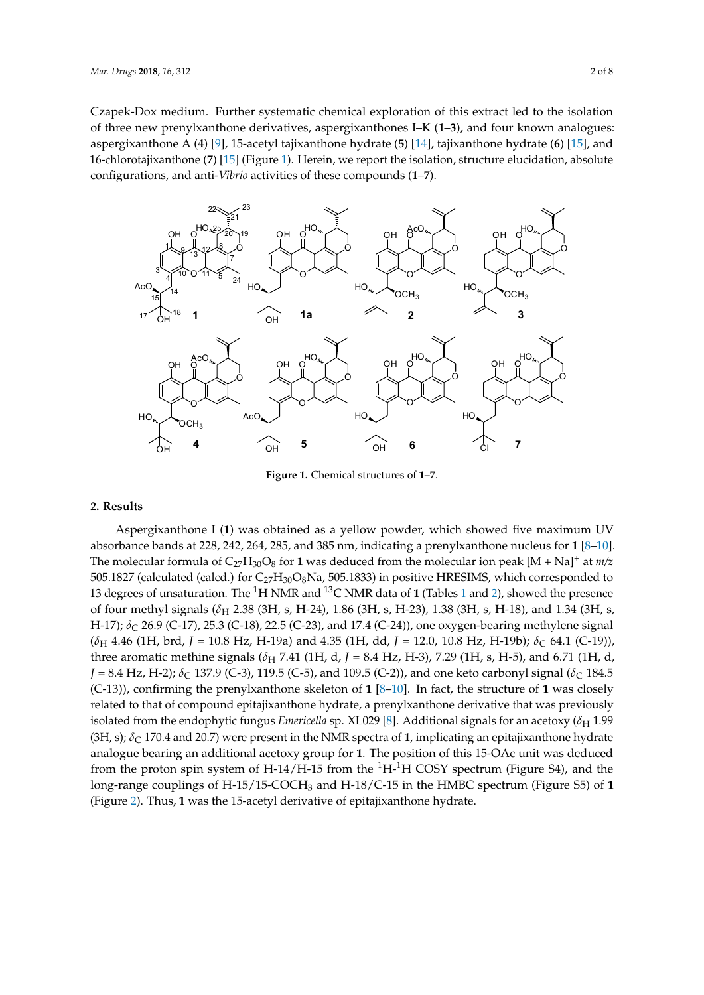Czapek-Dox medium. Further systematic chemical exploration of this extract led to the isolation of three new prenylxanthone derivatives, aspergixanthones I–K (**1**–**3**), and four known analogues: three new prenylxanthone derivatives, aspergixanthones I–K (**1**–**3**), and four known analogues: aspergixanthone A (4) [\[9\]](#page-7-6), 15-acetyl tajixanthone hydrate (5) [\[14\]](#page-7-8), tajixanthone hydrate (6) [\[15\]](#page-7-9), and 16-chlorotajixanthone (**7**) [\[15\]](#page-7-9) (Figure [1\)](#page-1-0). Herein, we report the isolation, structure elucidation, absolute 16-chlorotajixanthone (**7**) [15] (Figure 1). Herein, we report the isolation, structure elucidation, configurations, and anti-*Vibrio* activities of these compounds (**1**–**7**). absolute configurations, and anti-*Vibrio* activities of these compounds (**1**–**7**). EtOAc extract were obtained when fermentation of strain ZA-01 was carried out using a shaken Czapek-Dox medium. Further systematic chemical exploration of this extract led to the isolation of

<span id="page-1-0"></span>

**Figure 1.** Chemical structures of **1**–**7**. **Figure 1.** Chemical structures of **1**–**7**.

# **2. Results 2. Results**

Aspergixanthone I (**1**) was obtained as a yellow powder, which showed five maximum UV Aspergixanthone I (**1**) was obtained as a yellow powder, which showed five maximum UV absorbance bands at 228, 242, 264, 285, and 385 nm, indicating a prenylxanthone nucleus for **1** [8–10]. absorbance bands at 228, 242, 264, 285, and 385 nm, indicating a prenylxanthone nucleus for **1** [\[8–](#page-7-2)[10\]](#page-7-3). The molecular formula of  $C_{27}H_{30}O_8$  for **1** was deduced from the molecular ion peak  $[M + Na]$ <sup>+</sup> at *m/z* 505.1827 (calculated (calcd.) for  $C_{27}H_{30}O_8$ Na, 505.1833) in positive HRESIMS, which corresponded to 13 degrees of unsaturation. The 1H NMR and 13C NMR data of **1** (Tables 1 and 2), showed the 13 degrees of unsaturation. The <sup>1</sup>H NMR and <sup>13</sup>C NMR data of **1** (Tables [1](#page-2-0) and [2\)](#page-2-1), showed the presence of four methyl signals (*δ*<sub>H</sub> 2.38 (3H, s, H-24), 1.86 (3H, s, H-23), 1.38 (3H, s, H-18), and 1.34 (3H, s, H-17); *δ*<sub>C</sub> 26.9 (C-17), 25.3 (C-18), 22.5 (C-23), and 17.4 (C-24)), one oxygen-bearing methylene signal  $(\delta_H$  4.46 (1H, brd, J = 10.8 Hz, H-19a) and 4.35 (1H, dd, J = 12.0, 10.8 Hz, H-19b);  $\delta_C$  64.1 (C-19)), three aromatic methine signals ( $\delta_H$  7.41 (1H, d, J = 8.4 Hz, H-3), 7.29 (1H, s, H-5), and 6.71 (1H, d,  $J = 8.4$  Hz, H-2);  $\delta_C$  137.9 (C-3), 119.5 (C-5), and 109.5 (C-2)), and one keto carbonyl signal ( $\delta_C$  184.5 (C-13)), confirming the prenylxanthone skeleton of  $1$  [\[8](#page-7-2)-10]. In fact, the structure of 1 was closely related to that of compound epitajixanthone hydrate, a prenylxanthone derivative that was related to that of compound epitajixanthone hydrate, a prenylxanthone derivative that was previously isolated from the endophytic fungus *Emericella* sp. XL029 [\[8\]](#page-7-2). Additional signals for an acetoxy ( $\delta_H$  1.99 (3H, s);  $\delta_C$  170.4 and 20.7) were present in the NMR spectra of 1, implicating an epitajixanthone hydrate analogue bearing an additional acetoxy group for **1**. The position of this 15-OAc unit was deduced from the proton spin system of H-14/H-15 from the  ${}^{1}$ H- ${}^{1}$ H COSY spectrum (Figure S4), and the long-range couplings of H-15/15-COCH<sub>3</sub> and H-18/C-15 in the HMBC spectrum (Figure S5) of 1 (Figure S5) of **1** (Figure 2). Thus, **1** was the 15-acetyl derivative of epitajixanthone hydrate. (Figure [2\)](#page-3-0). Thus, **1** was the 15-acetyl derivative of epitajixanthone hydrate.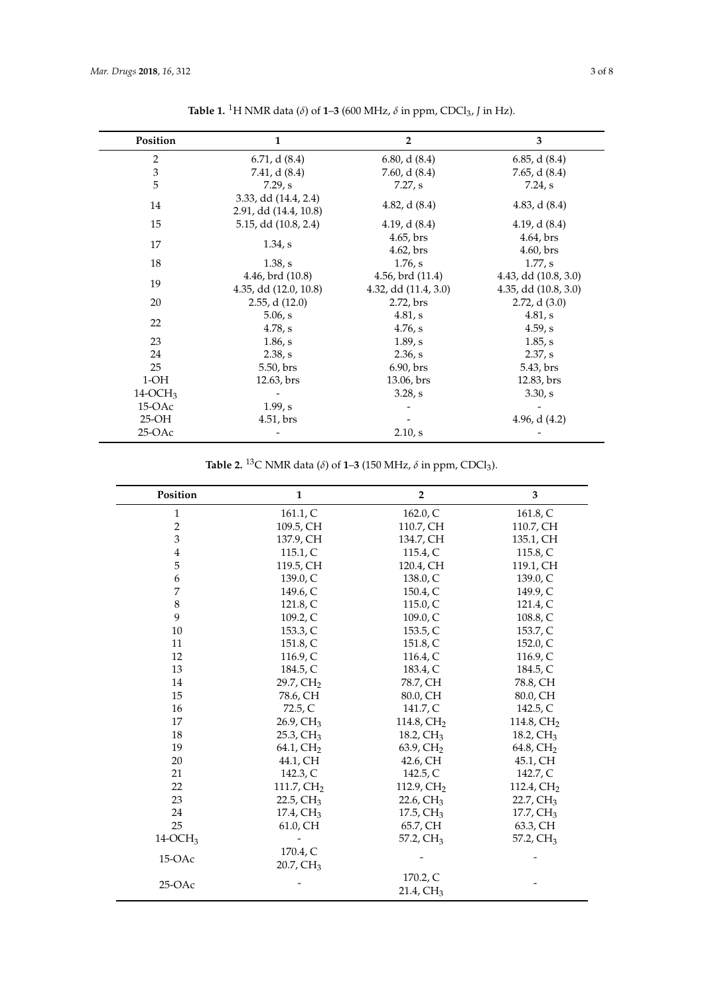<span id="page-2-0"></span>

| Position       | $\mathbf{1}$                                  | $\overline{2}$                                    | 3                                                 |  |  |
|----------------|-----------------------------------------------|---------------------------------------------------|---------------------------------------------------|--|--|
| $\overline{2}$ | 6.71, d(8.4)                                  | 6.80, d(8.4)                                      | 6.85, d(8.4)                                      |  |  |
| $\mathfrak{Z}$ | 7.41, d(8.4)                                  | 7.60, d $(8.4)$                                   | 7.65, d $(8.4)$                                   |  |  |
| 5              | 7.29, s                                       | 7.27, s                                           | 7.24, s                                           |  |  |
| 14             | 3.33, dd (14.4, 2.4)<br>2.91, dd (14.4, 10.8) | 4.82, d $(8.4)$                                   | 4.83, d $(8.4)$                                   |  |  |
| 15             | 5.15, dd (10.8, 2.4)                          | 4.19, d $(8.4)$                                   | 4.19, d $(8.4)$                                   |  |  |
| 17             | 1.34, s                                       | $4.65$ , brs<br>$4.62$ , brs                      | 4.64, brs<br>$4.60$ , brs                         |  |  |
| 18             | 1.38, s                                       | 1.76, s                                           | 1.77, s                                           |  |  |
| 19             | 4.46, brd (10.8)<br>4.35, dd (12.0, 10.8)     | $4.56$ , brd $(11.4)$<br>$4.32,$ dd $(11.4, 3.0)$ | 4.43, dd (10.8, 3.0)<br>$4.35$ , dd $(10.8, 3.0)$ |  |  |
| 20             | $2.55$ , d $(12.0)$                           | 2.72, brs                                         | $2.72$ , d $(3.0)$                                |  |  |
| 22             | 5.06, s<br>4.78, s                            | 4.81, s<br>4.76, s                                | 4.81, s<br>4.59, s                                |  |  |
| 23             | 1.86, s                                       | 1.89, s                                           | 1.85, s                                           |  |  |
| 24             | 2.38, s                                       | 2.36, s                                           | 2.37, s                                           |  |  |
| 25             | 5.50, brs                                     | 6.90, brs                                         | 5.43, brs                                         |  |  |
| $1-OH$         | 12.63, brs                                    | 13.06, brs                                        | 12.83, brs                                        |  |  |
| $14-OCH3$      |                                               | 3.28, s                                           | 3.30, s                                           |  |  |
| $15-OAc$       | 1.99, s                                       |                                                   |                                                   |  |  |
| $25-OH$        | 4.51, brs                                     |                                                   | 4.96, d $(4.2)$                                   |  |  |
| $25-OAC$       |                                               | 2.10, s                                           |                                                   |  |  |

**Table 1.** <sup>1</sup>H NMR data (δ) of **1–3** (600 MHz, δ in ppm, CDCl<sub>3</sub>, *J* in Hz).

**Table 2.** <sup>13</sup>C NMR data ( $\delta$ ) of **1–3** (150 MHz,  $\delta$  in ppm, CDCl<sub>3</sub>).

<span id="page-2-1"></span>

| Position       | $\mathbf{1}$               | $\overline{2}$             | 3                     |  |
|----------------|----------------------------|----------------------------|-----------------------|--|
| $\mathbf{1}$   | 161.1, C                   | 162.0, C                   | 161.8, C              |  |
| $\overline{2}$ | 109.5, CH                  | 110.7, CH                  | 110.7, CH             |  |
| 3              | 137.9, CH                  | 134.7, CH                  | 135.1, CH             |  |
| $\bf 4$        | 115.1, C                   | 115.4, C                   | 115.8, C              |  |
| 5              | 119.5, CH                  | 120.4, CH                  | 119.1, CH             |  |
| 6              | 139.0, C                   | 138.0, C                   |                       |  |
| 7              | 149.6, C                   | 150.4, C                   | 149.9, C              |  |
| 8              | 121.8, C                   | 115.0, C                   | 121.4, C              |  |
| 9              | 109.2, C                   | 109.0, C                   | 108.8, C              |  |
| 10             | 153.3, C                   | 153.5, C                   | 153.7, C              |  |
| 11             | 151.8, C                   | 151.8, C                   | 152.0, C              |  |
| 12             | 116.9, $C$                 | 116.4, $C$                 | 116.9, C              |  |
| 13             | 184.5, C                   | 183.4, C                   | 184.5, C              |  |
| 14             | 29.7, CH <sub>2</sub>      | 78.7, CH                   | 78.8, CH              |  |
| 15             | 78.6, CH                   | 80.0, CH                   | 80.0, CH              |  |
| 16             | 72.5, C                    | 141.7, C                   | 142.5, C              |  |
| 17             | $26.9, \text{CH}_3$        | 114.8, CH <sub>2</sub>     | 114.8, $CH2$          |  |
| 18             | $25.3$ , CH <sub>3</sub>   | 18.2, $CH3$                | 18.2, CH <sub>3</sub> |  |
| 19             | 64.1, $CH2$                | $63.9$ , CH <sub>2</sub>   | 64.8, CH <sub>2</sub> |  |
| 20             | 44.1, CH                   | 42.6, CH                   | 45.1, CH              |  |
| 21             | 142.3, C                   | 142.5, C                   | 142.7, C              |  |
| 22             | $111.7, \text{CH}_2$       | 112.9, $CH2$               | 112.4, $CH2$          |  |
| 23             | 22.5, $CH3$                | 22.6, $CH3$                | $22.7, \text{CH}_3$   |  |
| 24             | 17.4, CH <sub>3</sub>      | $17.5, \mathrm{CH}_3$      | $17.7, \mathrm{CH}_3$ |  |
| 25             | 61.0, CH                   | 65.7, CH                   | 63.3, CH              |  |
| $14-OCH3$      |                            | 57.2, CH <sub>3</sub>      | 57.2, CH <sub>3</sub> |  |
| 15-OAc         | 170.4, C<br>$20.7$ , $CH3$ |                            |                       |  |
| $25-OAC$       |                            | 170.2, C<br>$21.4$ , $CH3$ |                       |  |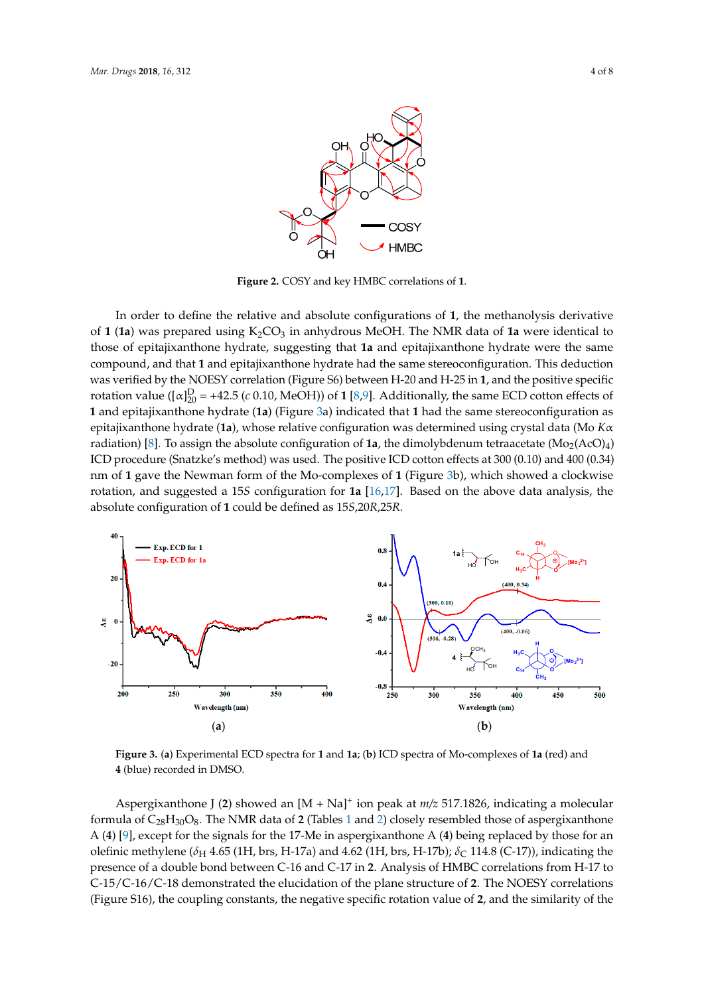<span id="page-3-0"></span>

**Figure 2.** COSY and key HMBC correlations of **1**. **Figure 2.** COSY and key HMBC correlations of **1**. **Figure 2.** COSY and key HMBC correlations of **1**.

In order to define the relative and absolute configurations of **1**, the methanolysis derivative of **1** In order to define the relative and absolute configurations of 1, the methanolysis derivative  $(6, 6)$ of  $1$  (1a) was prepared using  $K_2CO_3$  in anhydrous MeOH. The NMR data of 1a were identical to those of epitajixanthone hydrate, suggesting that 1a and epitajixanthone hydrate were the same compound, and that 1 and epitajixanthone hydrate had the same stereoconfiguration. This deduction was verified by the NOESY correlation (Figure S6) between H-20 and H-25 in 1, and the positive specific rotation value ( $[\alpha]_{20}^D$  = +42.5 (*c* 0.10, MeOH)) of 1 [\[8,](#page-7-2)[9\]](#page-7-6). Additionally, the same ECD cotton effects of 1 and epitajixanthone hydrate (1a) (Figure [3a](#page-3-1)) indicated that 1 had the same stereoconfiguration as **Example 18** radiation **configuration** of **1** absolute configuration of **1** and **1** absolute the dimolecular (*MO NN* radiation) [\[8\]](#page-7-2). To assign the absolute configuration of **1a**, the dimolybdenum tetraacetate  $(Mo_2(AC))_4$ nm of 1 gave the Newman form of the Mo-c[om](#page-3-1)plexes of 1 (Figure 3b), which showed a clockwise showed a clockwise rotation, and suggested a 15*S* configuration for **1a** [16,17]. Based on the above rotation, and suggested a 15S configuration for  $1a$  [\[16](#page-7-10)[,17\]](#page-7-11). Based on the above data analysis, the epitajixanthone hydrate (**1a**), whose relative configuration was determined using crystal data (Mo *K*α epitajixanthone hydrate (**1a**), whose relative configuration was determined using crystal data (Mo ICD procedure (Snatzke's method) was used. The positive ICD cotton effects at 300 (0.10) and 400 (0.34) absolute configuration of **1** could be defined as 15*S*,20*R*,25*R*. data analysis, the absolute configuration of **1** could be defined as 15*S*,20*R*,25*R*.

<span id="page-3-1"></span>

Figure 3. (a) Experimental ECD spectra for 1 and 1a; (b) ICD spectra of Mo-complexes of 1a (red) and **A** (blue) recorded in DMSO.

Aspergixanthone J (2) showed an  $[M + Na]^+$  ion peak at  $m/z$  517.1826, indicating a molecular formula of  $C_{28}H_{30}O_8$ . The NMR data of 2 (Tables [1 a](#page-2-0)nd [2\)](#page-2-1) closely resembled those of aspergixanthone A (4) [\[9\]](#page-7-6), except for the signals for the 17-Me in aspergixanthone A (4) being replaced by those for an olefinic methylene ( $\delta_H$  4.65 (1H, brs, H-17a) and 4.62 (1H, brs, H-17b);  $\delta_C$  114.8 (C-17)), indicating the presence of a double bond between C-16 and C-17 in 2. Analysis of HMBC correlations from H-17 to C-15/C-16/C-18 demonstrated the elucidation of the plane structure of 2. The NOESY correlations (Figure S16), the coupling constants, the negative specific rotation value of 2, and the similarity of the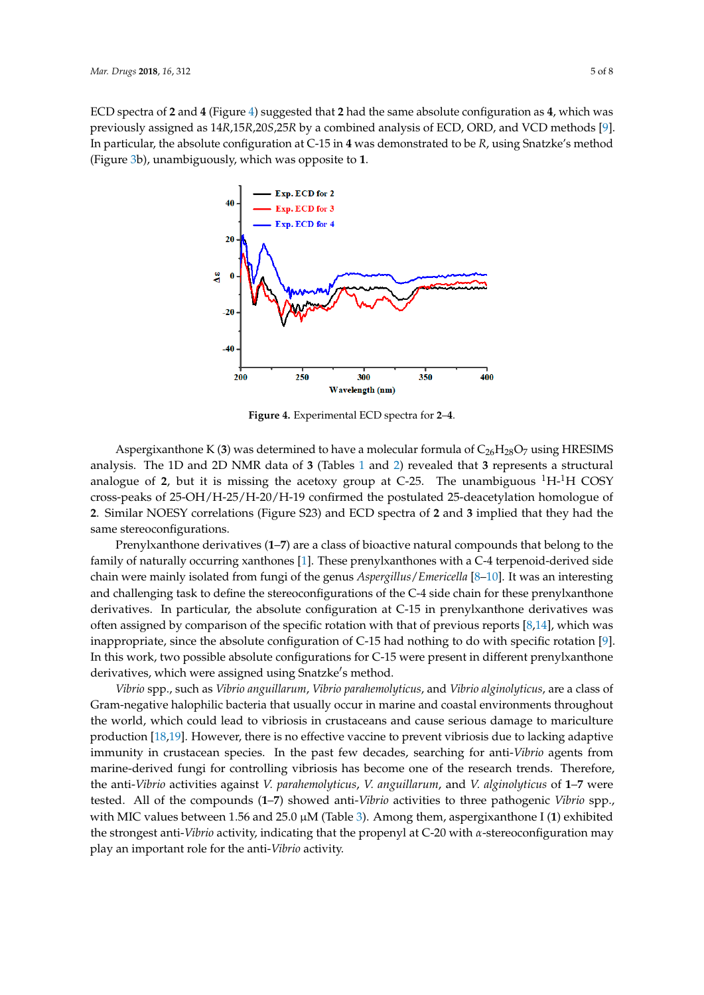<span id="page-4-0"></span>ECD spectra of **2** and **4** (Figure [4\)](#page-4-0) suggested that **2** had the same absolute configuration as **4**, which was *Mar. Drugs* **2018**, *16*, x 5 of 8 previously assigned as 14*R*,15*R*,20*S*,25*R* by a combined analysis of ECD, ORD, and VCD methods [\[9\]](#page-7-6). In particular, the absolute configuration at C-15 in 4 was demonstrated to be R, using Snatzke's method (Figure 3b), unambiguously, which was opposite to **1**. Snatzk[e's](#page-3-1) method (Figure 3b), unambiguously, which was opposite to **1**.



**Figure 4.** Experimental ECD spectra for **2**–**4**. **Figure 4.** Experimental ECD spectra for **2**–**4**.

Aspergixanthone K (3) was determined to have a molecular formula of  $C_{26}H_{28}O_7$  using HRESIMS  $\frac{H_{\text{E}}}{\sqrt{1-\frac{1}{2}}}\left\{\frac{1}{\sqrt{1-\frac{1}{2}}}\left\{\frac{1}{\sqrt{1-\frac{1}{2}}}\left\{\frac{1}{\sqrt{1-\frac{1}{2}}}\left\{\frac{1}{\sqrt{1-\frac{1}{2}}}\left\{\frac{1}{\sqrt{1-\frac{1}{2}}}\left\{\frac{1}{\sqrt{1-\frac{1}{2}}}\left\{\frac{1}{\sqrt{1-\frac{1}{2}}}\left\{\frac{1}{\sqrt{1-\frac{1}{2}}}\left\{\frac{1}{\sqrt{1-\frac{1}{2}}}\left\{\frac{1}{\sqrt{1-\frac{1}{2}}}\left\{\frac{1}{$ structural analogue of **2**, but it is missing the acetoxy group at C-25. The unambiguous 1H-1H COSY analysis. The 1D and 2D NMR data of **3** (Tables [1](#page-2-0) and [2\)](#page-2-1) revealed that **3** represents a structural analogue of 2, but it is missing the acetoxy group at C-25. The unambiguous  ${}^{1}H_{1}{}^{1}H$  COSY Similar NOESY correlations (Figure S23) and ECD spectra of **2** and **3** implied that they had the same **2**. Similar NOESY correlations (Figure S23) and ECD spectra of **2** and **3** implied that they had the cross-peaks of 25-OH/H-25/H-20/H-19 confirmed the postulated 25-deacetylation homologue of same stereoconfigurations.

Prenylxanthone derivatives (**1**–**7**) are a class of bioactive natural compounds that belong to the Prenylxanthone derivatives (**1**–**7**) are a class of bioactive natural compounds that belong to the family of natural contractors  $\frac{1}{2}$ . The means of biodecive means  $\frac{1}{2}$  derived and belong to the family of naturally occurring xanthones [\[1\]](#page-6-0). These prenylxanthones with a C-4 terpenoid-derived side<br>details and the state of the contract of the contract of the general state of the state of the state of the state of the chain were mainly isolated from fungi of the genus *Aspergillus*/*Emericella* [\[8](#page-7-2)[–10\]](#page-7-3). It was an interesting  $\frac{1}{2}$ and challenging task to define the stereoconfigurations of the C-4 side chain for these prenylxanthone  $\frac{1}{2}$ derivatives. In particular, the assigned comparison of the specific rotation with the specific rotation with the specific rotation of previous reports. often assigned by comparison of the specific rotation with that of previous reports [\[8](#page-7-2)[,14\]](#page-7-8), which was specific rotation can be absolute comfutulous of C-15 were present in the present in the present in the configuration of C-15 were presented in the configurations of C-15 were presented in the configurations of C-15 were p In this work, two possible absolute configurations for C-15 were present in different prenylxanthone derivatives. In particular, the absolute configuration at C-15 in prenylxanthone derivatives was inappropriate, since the absolute configuration of C-15 had nothing to do with specific rotation [\[9\]](#page-7-6). derivatives, which were assigned using Snatzke's method.

anves, when were assigned asing sharine s include.<br>Vibrio spp., such as Vibrio anguillarum, Vibrio parahemolyticus, and Vibrio alginolyticus, are a class of of Gram-negative halophilic bacteria that usually occur in marine and coastal environments Gram-negative halophilic bacteria that usually occur in marine and coastal environments throughout throughout the world, which could lead to vibriosis in crustaceans and cause serious damage to the world, which could lead to vibriosis in crustaceans and cause serious damage to mariculture marculature production and content vaccine is no effective vaccine vaccine variable variable variable production [\[18,](#page-7-12)[19\]](#page-7-13). However, there is no effective vaccine to prevent vibriosis due to lacking adaptive production<br>Production [18,19]. However, there is no effective vaccine to prevent vibriosis due to lacking adaptive immunity in crustacean species. In the past few decades, searching for anti-*Vibrio* agents from in the research trends. The research trends of the research trends. The research trends of the research trends of the researc marine-derived fungi for controlling vibriosis has become one of the research trends. Therefore, the anti-Vibrio activities against *V. parahemolyticus, V. anguillarum*, and *V. alginolyticus* of  $1-7$  were species between 1.56 and 25.0 million MIC values between 1.56 and 25.0 million I (**1**). And 1.56 and 1.56 and 1.56 and 1.56 and 25.0 million I (**1**). Among them, aspects them, aspects them, aspects them, aspects them, as with MIC values between 1.56 and 25.0  $\mu$ M (Table [3\)](#page-5-0). Among them, aspergixanthone I (1) exhibited  $\mu$ the strongest anti-*Vibrio* activity, indicating that the propenyl at C-20 with *α*-stereoconfiguration may tested. All of the compounds (**1**–**7**) showed anti-*Vibrio* activities to three pathogenic *Vibrio* spp., play an important role for the anti-*Vibrio* activity.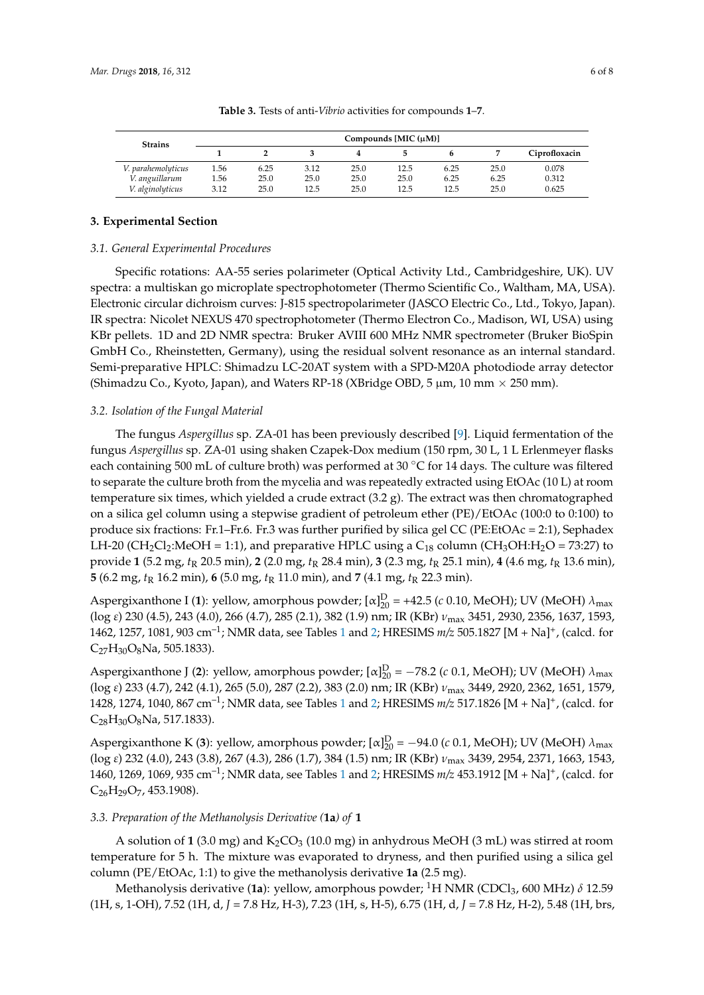<span id="page-5-0"></span>

| <b>Strains</b>     | Compounds [MIC $(\mu M)$ ] |      |      |      |      |      |      |               |
|--------------------|----------------------------|------|------|------|------|------|------|---------------|
|                    |                            |      |      |      |      |      |      | Ciprofloxacin |
| V. parahemolyticus | 1.56                       | 6.25 | 3.12 | 25.0 | 12.5 | 6.25 | 25.0 | 0.078         |
| V. anguillarum     | 1.56                       | 25.0 | 25.0 | 25.0 | 25.0 | 6.25 | 6.25 | 0.312         |
| V. alginolyticus   | 3.12                       | 25.0 | 12.5 | 25.0 | 12.5 | 12.5 | 25.0 | 0.625         |

**Table 3.** Tests of anti-*Vibrio* activities for compounds **1**–**7**.

#### **3. Experimental Section**

#### *3.1. General Experimental Procedures*

Specific rotations: AA-55 series polarimeter (Optical Activity Ltd., Cambridgeshire, UK). UV spectra: a multiskan go microplate spectrophotometer (Thermo Scientific Co., Waltham, MA, USA). Electronic circular dichroism curves: J-815 spectropolarimeter (JASCO Electric Co., Ltd., Tokyo, Japan). IR spectra: Nicolet NEXUS 470 spectrophotometer (Thermo Electron Co., Madison, WI, USA) using KBr pellets. 1D and 2D NMR spectra: Bruker AVIII 600 MHz NMR spectrometer (Bruker BioSpin GmbH Co., Rheinstetten, Germany), using the residual solvent resonance as an internal standard. Semi-preparative HPLC: Shimadzu LC-20AT system with a SPD-M20A photodiode array detector (Shimadzu Co., Kyoto, Japan), and Waters RP-18 (XBridge OBD, 5  $\mu$ m, 10 mm  $\times$  250 mm).

#### *3.2. Isolation of the Fungal Material*

The fungus *Aspergillus* sp. ZA-01 has been previously described [\[9\]](#page-7-6). Liquid fermentation of the fungus *Aspergillus* sp. ZA-01 using shaken Czapek-Dox medium (150 rpm, 30 L, 1 L Erlenmeyer flasks each containing 500 mL of culture broth) was performed at 30 ◦C for 14 days. The culture was filtered to separate the culture broth from the mycelia and was repeatedly extracted using EtOAc (10 L) at room temperature six times, which yielded a crude extract (3.2 g). The extract was then chromatographed on a silica gel column using a stepwise gradient of petroleum ether (PE)/EtOAc (100:0 to 0:100) to produce six fractions: Fr.1–Fr.6. Fr.3 was further purified by silica gel CC (PE:EtOAc = 2:1), Sephadex LH-20 (CH<sub>2</sub>Cl<sub>2</sub>:MeOH = 1:1), and preparative HPLC using a C<sub>18</sub> column (CH<sub>3</sub>OH:H<sub>2</sub>O = 73:27) to provide **1** (5.2 mg, *t*<sup>R</sup> 20.5 min), **2** (2.0 mg, *t*<sup>R</sup> 28.4 min), **3** (2.3 mg, *t*<sup>R</sup> 25.1 min), **4** (4.6 mg, *t*<sup>R</sup> 13.6 min), **5** (6.2 mg,  $t_R$  16.2 min), **6** (5.0 mg,  $t_R$  11.0 min), and **7** (4.1 mg,  $t_R$  22.3 min).

Aspergixanthone I (1): yellow, amorphous powder;  $[\alpha]_{20}^D$  = +42.5 (*c* 0.10, MeOH); UV (MeOH)  $\lambda_{\text{max}}$ (log *ε*) 230 (4.5), 243 (4.0), 266 (4.7), 285 (2.1), 382 (1.9) nm; IR (KBr) *ν*max 3451, 2930, 2356, 1637, 1593, 1462, 1257, 1081, 903 cm–1; NMR data, see Tables [1](#page-2-0) and [2;](#page-2-1) HRESIMS *m/z* 505.1827 [M + Na]<sup>+</sup> , (calcd. for  $C_{27}H_{30}O_8$ Na, 505.1833).

Aspergixanthone J (2): yellow, amorphous powder;  $[\alpha]_{20}^D = -78.2$  (*c* 0.1, MeOH); UV (MeOH)  $\lambda_{\text{max}}$ (log *ε*) 233 (4.7), 242 (4.1), 265 (5.0), 287 (2.2), 383 (2.0) nm; IR (KBr) *ν*max 3449, 2920, 2362, 1651, 1579, 1428, 1274, 1040, 867 cm–1; NMR data, see Tables [1](#page-2-0) and [2;](#page-2-1) HRESIMS *m/z* 517.1826 [M + Na]<sup>+</sup> , (calcd. for  $C_{28}H_{30}O_8$ Na, 517.1833).

Aspergixanthone K (3): yellow, amorphous powder;  $[\alpha]_{20}^D = -94.0$  (*c* 0.1, MeOH); UV (MeOH)  $\lambda_{\text{max}}$ (log *ε*) 232 (4.0), 243 (3.8), 267 (4.3), 286 (1.7), 384 (1.5) nm; IR (KBr) *ν*max 3439, 2954, 2371, 1663, 1543, 1460, 1269, 1069, 935 cm–1; NMR data, see Tables [1](#page-2-0) and [2;](#page-2-1) HRESIMS *m/z* 453.1912 [M + Na]<sup>+</sup> , (calcd. for  $C_{26}H_{29}O_7$ , 453.1908).

#### *3.3. Preparation of the Methanolysis Derivative (***1a***) of* **1**

A solution of  $1(3.0 \text{ mg})$  and  $K_2CO_3(10.0 \text{ mg})$  in anhydrous MeOH (3 mL) was stirred at room temperature for 5 h. The mixture was evaporated to dryness, and then purified using a silica gel column (PE/EtOAc, 1:1) to give the methanolysis derivative **1a** (2.5 mg).

Methanolysis derivative (**1a**): yellow, amorphous powder; <sup>1</sup>H NMR (CDCl3, 600 MHz) *δ* 12.59 (1H, s, 1-OH), 7.52 (1H, d, *J* = 7.8 Hz, H-3), 7.23 (1H, s, H-5), 6.75 (1H, d, *J* = 7.8 Hz, H-2), 5.48 (1H, brs,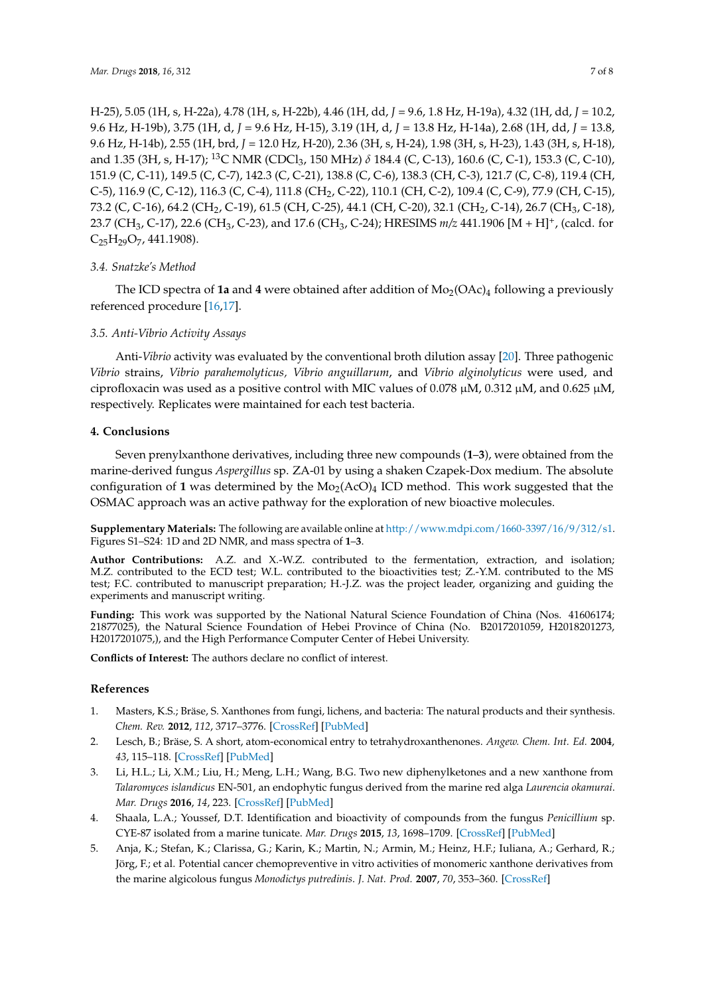H-25), 5.05 (1H, s, H-22a), 4.78 (1H, s, H-22b), 4.46 (1H, dd, *J* = 9.6, 1.8 Hz, H-19a), 4.32 (1H, dd, *J* = 10.2, 9.6 Hz, H-19b), 3.75 (1H, d, *J* = 9.6 Hz, H-15), 3.19 (1H, d, *J* = 13.8 Hz, H-14a), 2.68 (1H, dd, *J* = 13.8, 9.6 Hz, H-14b), 2.55 (1H, brd, *J* = 12.0 Hz, H-20), 2.36 (3H, s, H-24), 1.98 (3H, s, H-23), 1.43 (3H, s, H-18), and 1.35 (3H, s, H-17); <sup>13</sup>C NMR (CDCl<sub>3</sub>, 150 MHz) *δ* 184.4 (C, C-13), 160.6 (C, C-1), 153.3 (C, C-10), 151.9 (C, C-11), 149.5 (C, C-7), 142.3 (C, C-21), 138.8 (C, C-6), 138.3 (CH, C-3), 121.7 (C, C-8), 119.4 (CH, C-5), 116.9 (C, C-12), 116.3 (C, C-4), 111.8 (CH<sub>2</sub>, C-22), 110.1 (CH, C-2), 109.4 (C, C-9), 77.9 (CH, C-15), 73.2 (C, C-16), 64.2 (CH<sub>2</sub>, C-19), 61.5 (CH, C-25), 44.1 (CH, C-20), 32.1 (CH<sub>2</sub>, C-14), 26.7 (CH<sub>3</sub>, C-18), 23.7 (CH3, C-17), 22.6 (CH3, C-23), and 17.6 (CH3, C-24); HRESIMS *m/z* 441.1906 [M + H]<sup>+</sup> , (calcd. for  $C_{25}H_{29}O_7$ , 441.1908).

# *3.4. Snatzke's Method*

The ICD spectra of 1a and 4 were obtained after addition of  $Mo_{2}(OAc)_{4}$  following a previously referenced procedure [\[16,](#page-7-10)[17\]](#page-7-11).

# *3.5. Anti-Vibrio Activity Assays*

Anti-*Vibrio* activity was evaluated by the conventional broth dilution assay [\[20\]](#page-7-14). Three pathogenic *Vibrio* strains, *Vibrio parahemolyticus, Vibrio anguillarum*, and *Vibrio alginolyticus* were used, and ciprofloxacin was used as a positive control with MIC values of 0.078  $\mu$ M, 0.312  $\mu$ M, and 0.625  $\mu$ M, respectively. Replicates were maintained for each test bacteria.

# **4. Conclusions**

Seven prenylxanthone derivatives, including three new compounds (**1**–**3**), were obtained from the marine-derived fungus *Aspergillus* sp. ZA-01 by using a shaken Czapek-Dox medium. The absolute configuration of 1 was determined by the  $Mo<sub>2</sub>(AcO)<sub>4</sub>$  ICD method. This work suggested that the OSMAC approach was an active pathway for the exploration of new bioactive molecules.

**Supplementary Materials:** The following are available online at [http://www.mdpi.com/1660-3397/16/9/312/s1.](http://www.mdpi.com/1660-3397/16/9/312/s1) Figures S1–S24: 1D and 2D NMR, and mass spectra of **1**–**3**.

**Author Contributions:** A.Z. and X.-W.Z. contributed to the fermentation, extraction, and isolation; M.Z. contributed to the ECD test; W.L. contributed to the bioactivities test; Z.-Y.M. contributed to the MS test; F.C. contributed to manuscript preparation; H.-J.Z. was the project leader, organizing and guiding the experiments and manuscript writing.

**Funding:** This work was supported by the National Natural Science Foundation of China (Nos. 41606174; 21877025), the Natural Science Foundation of Hebei Province of China (No. B2017201059, H2018201273, H2017201075,), and the High Performance Computer Center of Hebei University.

**Conflicts of Interest:** The authors declare no conflict of interest.

# **References**

- <span id="page-6-0"></span>1. Masters, K.S.; Bräse, S. Xanthones from fungi, lichens, and bacteria: The natural products and their synthesis. *Chem. Rev.* **2012**, *112*, 3717–3776. [\[CrossRef\]](http://dx.doi.org/10.1021/cr100446h) [\[PubMed\]](http://www.ncbi.nlm.nih.gov/pubmed/22617028)
- <span id="page-6-1"></span>2. Lesch, B.; Bräse, S. A short, atom-economical entry to tetrahydroxanthenones. *Angew. Chem. Int. Ed.* **2004**, *43*, 115–118. [\[CrossRef\]](http://dx.doi.org/10.1002/anie.200352154) [\[PubMed\]](http://www.ncbi.nlm.nih.gov/pubmed/14694488)
- <span id="page-6-2"></span>3. Li, H.L.; Li, X.M.; Liu, H.; Meng, L.H.; Wang, B.G. Two new diphenylketones and a new xanthone from *Talaromyces islandicus* EN-501, an endophytic fungus derived from the marine red alga *Laurencia okamurai*. *Mar. Drugs* **2016**, *14*, 223. [\[CrossRef\]](http://dx.doi.org/10.3390/md14120223) [\[PubMed\]](http://www.ncbi.nlm.nih.gov/pubmed/27941601)
- <span id="page-6-3"></span>4. Shaala, L.A.; Youssef, D.T. Identification and bioactivity of compounds from the fungus *Penicillium* sp. CYE-87 isolated from a marine tunicate. *Mar. Drugs* **2015**, *13*, 1698–1709. [\[CrossRef\]](http://dx.doi.org/10.3390/md13041698) [\[PubMed\]](http://www.ncbi.nlm.nih.gov/pubmed/25815893)
- <span id="page-6-4"></span>5. Anja, K.; Stefan, K.; Clarissa, G.; Karin, K.; Martin, N.; Armin, M.; Heinz, H.F.; Iuliana, A.; Gerhard, R.; Jörg, F.; et al. Potential cancer chemopreventive in vitro activities of monomeric xanthone derivatives from the marine algicolous fungus *Monodictys putredinis*. *J. Nat. Prod.* **2007**, *70*, 353–360. [\[CrossRef\]](http://dx.doi.org/10.1021/np060505o)